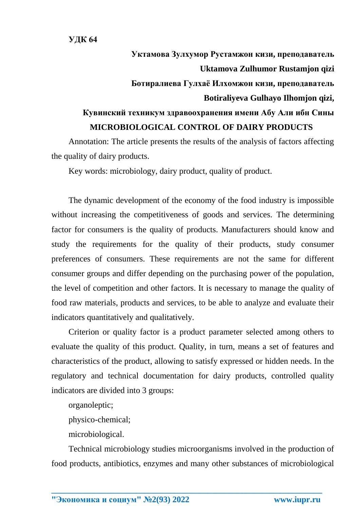## **Уктамова Зулхумор Рустамжон кизи, преподаватель Uktamova Zulhumor Rustamjon qizi Ботиралиева Гулхаё Илхомжон кизи, преподаватель Botiraliyeva Gulhayo Ilhomjon qizi, Кувинский техникум здравоохранения имени Абу Али ибн Сины MICROBIOLOGICAL CONTROL OF DAIRY PRODUCTS**

Annotation: The article presents the results of the analysis of factors affecting the quality of dairy products.

Key words: microbiology, dairy product, quality of product.

The dynamic development of the economy of the food industry is impossible without increasing the competitiveness of goods and services. The determining factor for consumers is the quality of products. Manufacturers should know and study the requirements for the quality of their products, study consumer preferences of consumers. These requirements are not the same for different consumer groups and differ depending on the purchasing power of the population, the level of competition and other factors. It is necessary to manage the quality of food raw materials, products and services, to be able to analyze and evaluate their indicators quantitatively and qualitatively.

Criterion or quality factor is a product parameter selected among others to evaluate the quality of this product. Quality, in turn, means a set of features and characteristics of the product, allowing to satisfy expressed or hidden needs. In the regulatory and technical documentation for dairy products, controlled quality indicators are divided into 3 groups:

organoleptic;

physico-chemical;

microbiological.

Technical microbiology studies microorganisms involved in the production of food products, antibiotics, enzymes and many other substances of microbiological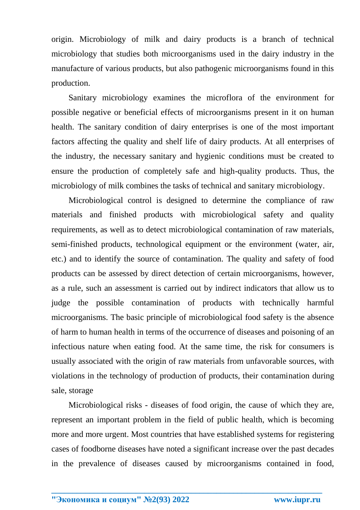origin. Microbiology of milk and dairy products is a branch of technical microbiology that studies both microorganisms used in the dairy industry in the manufacture of various products, but also pathogenic microorganisms found in this production.

Sanitary microbiology examines the microflora of the environment for possible negative or beneficial effects of microorganisms present in it on human health. The sanitary condition of dairy enterprises is one of the most important factors affecting the quality and shelf life of dairy products. At all enterprises of the industry, the necessary sanitary and hygienic conditions must be created to ensure the production of completely safe and high-quality products. Thus, the microbiology of milk combines the tasks of technical and sanitary microbiology.

Microbiological control is designed to determine the compliance of raw materials and finished products with microbiological safety and quality requirements, as well as to detect microbiological contamination of raw materials, semi-finished products, technological equipment or the environment (water, air, etc.) and to identify the source of contamination. The quality and safety of food products can be assessed by direct detection of certain microorganisms, however, as a rule, such an assessment is carried out by indirect indicators that allow us to judge the possible contamination of products with technically harmful microorganisms. The basic principle of microbiological food safety is the absence of harm to human health in terms of the occurrence of diseases and poisoning of an infectious nature when eating food. At the same time, the risk for consumers is usually associated with the origin of raw materials from unfavorable sources, with violations in the technology of production of products, their contamination during sale, storage

Microbiological risks - diseases of food origin, the cause of which they are, represent an important problem in the field of public health, which is becoming more and more urgent. Most countries that have established systems for registering cases of foodborne diseases have noted a significant increase over the past decades in the prevalence of diseases caused by microorganisms contained in food,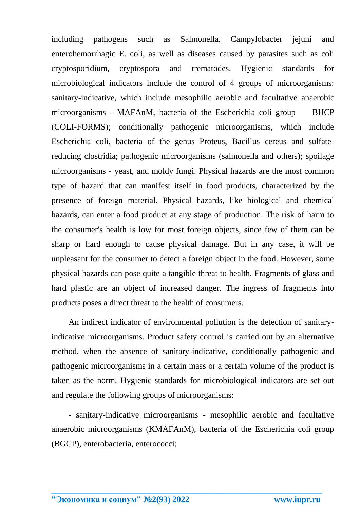including pathogens such as Salmonella, Campylobacter jejuni and enterohemorrhagic E. coli, as well as diseases caused by parasites such as coli cryptosporidium, cryptospora and trematodes. Hygienic standards for microbiological indicators include the control of 4 groups of microorganisms: sanitary-indicative, which include mesophilic aerobic and facultative anaerobic microorganisms - MAFAnM, bacteria of the Escherichia coli group — BHCP (COLI-FORMS); conditionally pathogenic microorganisms, which include Escherichia coli, bacteria of the genus Proteus, Bacillus cereus and sulfatereducing clostridia; pathogenic microorganisms (salmonella and others); spoilage microorganisms - yeast, and moldy fungi. Physical hazards are the most common type of hazard that can manifest itself in food products, characterized by the presence of foreign material. Physical hazards, like biological and chemical hazards, can enter a food product at any stage of production. The risk of harm to the consumer's health is low for most foreign objects, since few of them can be sharp or hard enough to cause physical damage. But in any case, it will be unpleasant for the consumer to detect a foreign object in the food. However, some physical hazards can pose quite a tangible threat to health. Fragments of glass and hard plastic are an object of increased danger. The ingress of fragments into products poses a direct threat to the health of consumers.

An indirect indicator of environmental pollution is the detection of sanitaryindicative microorganisms. Product safety control is carried out by an alternative method, when the absence of sanitary-indicative, conditionally pathogenic and pathogenic microorganisms in a certain mass or a certain volume of the product is taken as the norm. Hygienic standards for microbiological indicators are set out and regulate the following groups of microorganisms:

- sanitary-indicative microorganisms - mesophilic aerobic and facultative anaerobic microorganisms (KMAFAnM), bacteria of the Escherichia coli group (BGCP), enterobacteria, enterococci;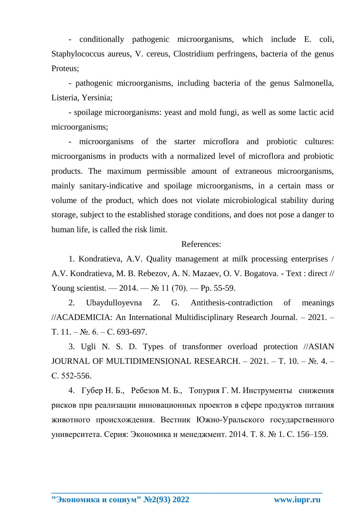- conditionally pathogenic microorganisms, which include E. coli, Staphylococcus aureus, V. cereus, Clostridium perfringens, bacteria of the genus Proteus;

- pathogenic microorganisms, including bacteria of the genus Salmonella, Listeria, Yersinia;

- spoilage microorganisms: yeast and mold fungi, as well as some lactic acid microorganisms;

- microorganisms of the starter microflora and probiotic cultures: microorganisms in products with a normalized level of microflora and probiotic products. The maximum permissible amount of extraneous microorganisms, mainly sanitary-indicative and spoilage microorganisms, in a certain mass or volume of the product, which does not violate microbiological stability during storage, subject to the established storage conditions, and does not pose a danger to human life, is called the risk limit.

## References:

1. Kondratieva, A.V. Quality management at milk processing enterprises / A.V. Kondratieva, M. B. Rebezov, A. N. Mazaev, O. V. Bogatova. - Text : direct // Young scientist. — 2014. —  $\mathbb{N}^{\circ}$  11 (70). — Pp. 55-59.

2. Ubaydulloyevna Z. G. Antithesis-contradiction of meanings //ACADEMICIA: An International Multidisciplinary Research Journal. – 2021. – Т. 11. – №. 6. – С. 693-697.

3. Ugli N. S. D. Types of transformer overload protection //ASIAN JOURNAL OF MULTIDIMENSIONAL RESEARCH. – 2021. – Т. 10. – №. 4. – С. 552-556.

4. Губер Н. Б., Ребезов М. Б., Топурия Г. М. Инструменты снижения рисков при реализации инновационных проектов в сфере продуктов питания животного происхождения. Вестник Южно-Уральского государственного университета. Серия: Экономика и менеджмент. 2014. Т. 8. № 1. С. 156–159.